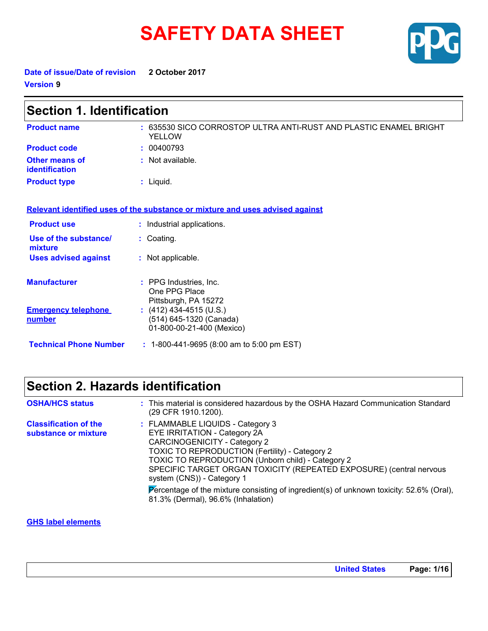# **SAFETY DATA SHEET**



**Date of issue/Date of revision 2 October 2017 Version 9**

| <b>Section 1. Identification</b>            |                                                                                    |  |
|---------------------------------------------|------------------------------------------------------------------------------------|--|
| <b>Product name</b>                         | : 635530 SICO CORROSTOP ULTRA ANTI-RUST AND PLASTIC ENAMEL BRIGHT<br><b>YELLOW</b> |  |
| <b>Product code</b>                         | : 00400793                                                                         |  |
| <b>Other means of</b><br>identification     | : Not available.                                                                   |  |
| <b>Product type</b>                         | $:$ Liquid.                                                                        |  |
|                                             | Relevant identified uses of the substance or mixture and uses advised against      |  |
| <b>Product use</b>                          | : Industrial applications.                                                         |  |
| Use of the substance/<br>mixture            | : Coating.                                                                         |  |
| <b>Uses advised against</b>                 | : Not applicable.                                                                  |  |
| <b>Manufacturer</b>                         | : PPG Industries, Inc.<br>One PPG Place<br>Pittsburgh, PA 15272                    |  |
| <b>Emergency telephone</b><br><u>number</u> | $(412)$ 434-4515 (U.S.)<br>(514) 645-1320 (Canada)<br>01-800-00-21-400 (Mexico)    |  |
| <b>Technical Phone Number</b>               | $: 1-800-441-9695$ (8:00 am to 5:00 pm EST)                                        |  |

### **Section 2. Hazards identification**

| <b>OSHA/HCS status</b>                               | : This material is considered hazardous by the OSHA Hazard Communication Standard<br>(29 CFR 1910.1200).                                                                                                                                                                                                                                                                                                                                       |
|------------------------------------------------------|------------------------------------------------------------------------------------------------------------------------------------------------------------------------------------------------------------------------------------------------------------------------------------------------------------------------------------------------------------------------------------------------------------------------------------------------|
| <b>Classification of the</b><br>substance or mixture | : FLAMMABLE LIQUIDS - Category 3<br>EYE IRRITATION - Category 2A<br>CARCINOGENICITY - Category 2<br>TOXIC TO REPRODUCTION (Fertility) - Category 2<br>TOXIC TO REPRODUCTION (Unborn child) - Category 2<br>SPECIFIC TARGET ORGAN TOXICITY (REPEATED EXPOSURE) (central nervous<br>system (CNS)) - Category 1<br>Percentage of the mixture consisting of ingredient(s) of unknown toxicity: 52.6% (Oral),<br>81.3% (Dermal), 96.6% (Inhalation) |

**GHS label elements**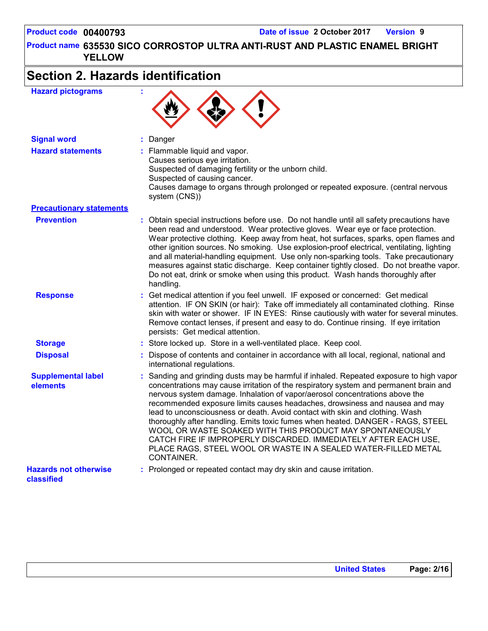**635530 SICO CORROSTOP ULTRA ANTI-RUST AND PLASTIC ENAMEL BRIGHT Product name YELLOW**

# **Section 2. Hazards identification**

| <b>Hazard pictograms</b>                   |                                                                                                                                                                                                                                                                                                                                                                                                                                                                                                                                                                                                                                                                                                                                 |
|--------------------------------------------|---------------------------------------------------------------------------------------------------------------------------------------------------------------------------------------------------------------------------------------------------------------------------------------------------------------------------------------------------------------------------------------------------------------------------------------------------------------------------------------------------------------------------------------------------------------------------------------------------------------------------------------------------------------------------------------------------------------------------------|
| <b>Signal word</b>                         | : Danger                                                                                                                                                                                                                                                                                                                                                                                                                                                                                                                                                                                                                                                                                                                        |
| <b>Hazard statements</b>                   | : Flammable liquid and vapor.<br>Causes serious eye irritation.<br>Suspected of damaging fertility or the unborn child.<br>Suspected of causing cancer.<br>Causes damage to organs through prolonged or repeated exposure. (central nervous<br>system (CNS))                                                                                                                                                                                                                                                                                                                                                                                                                                                                    |
| <b>Precautionary statements</b>            |                                                                                                                                                                                                                                                                                                                                                                                                                                                                                                                                                                                                                                                                                                                                 |
| <b>Prevention</b>                          | : Obtain special instructions before use. Do not handle until all safety precautions have<br>been read and understood. Wear protective gloves. Wear eye or face protection.<br>Wear protective clothing. Keep away from heat, hot surfaces, sparks, open flames and<br>other ignition sources. No smoking. Use explosion-proof electrical, ventilating, lighting<br>and all material-handling equipment. Use only non-sparking tools. Take precautionary<br>measures against static discharge. Keep container tightly closed. Do not breathe vapor.<br>Do not eat, drink or smoke when using this product. Wash hands thoroughly after<br>handling.                                                                             |
| <b>Response</b>                            | : Get medical attention if you feel unwell. IF exposed or concerned: Get medical<br>attention. IF ON SKIN (or hair): Take off immediately all contaminated clothing. Rinse<br>skin with water or shower. IF IN EYES: Rinse cautiously with water for several minutes.<br>Remove contact lenses, if present and easy to do. Continue rinsing. If eye irritation<br>persists: Get medical attention.                                                                                                                                                                                                                                                                                                                              |
| <b>Storage</b>                             | : Store locked up. Store in a well-ventilated place. Keep cool.                                                                                                                                                                                                                                                                                                                                                                                                                                                                                                                                                                                                                                                                 |
| <b>Disposal</b>                            | : Dispose of contents and container in accordance with all local, regional, national and<br>international regulations.                                                                                                                                                                                                                                                                                                                                                                                                                                                                                                                                                                                                          |
| <b>Supplemental label</b><br>elements      | : Sanding and grinding dusts may be harmful if inhaled. Repeated exposure to high vapor<br>concentrations may cause irritation of the respiratory system and permanent brain and<br>nervous system damage. Inhalation of vapor/aerosol concentrations above the<br>recommended exposure limits causes headaches, drowsiness and nausea and may<br>lead to unconsciousness or death. Avoid contact with skin and clothing. Wash<br>thoroughly after handling. Emits toxic fumes when heated. DANGER - RAGS, STEEL<br>WOOL OR WASTE SOAKED WITH THIS PRODUCT MAY SPONTANEOUSLY<br>CATCH FIRE IF IMPROPERLY DISCARDED. IMMEDIATELY AFTER EACH USE,<br>PLACE RAGS, STEEL WOOL OR WASTE IN A SEALED WATER-FILLED METAL<br>CONTAINER. |
| <b>Hazards not otherwise</b><br>classified | : Prolonged or repeated contact may dry skin and cause irritation.                                                                                                                                                                                                                                                                                                                                                                                                                                                                                                                                                                                                                                                              |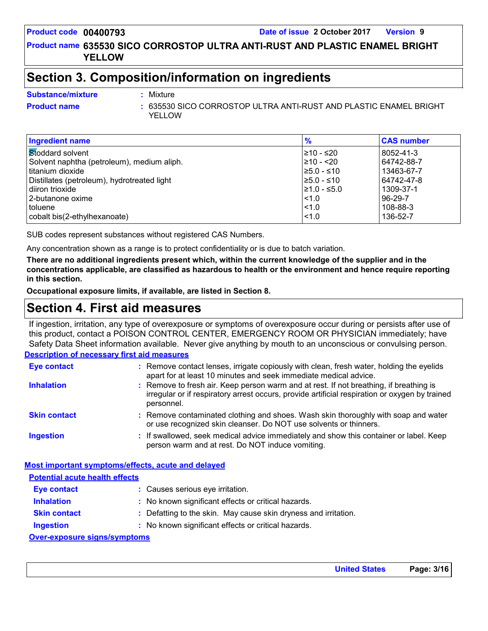#### **635530 SICO CORROSTOP ULTRA ANTI-RUST AND PLASTIC ENAMEL BRIGHT Product name YELLOW**

### **Section 3. Composition/information on ingredients**

- **Substance/mixture :**
- 
- Mixture
- **Product name** 635530 SICO CORROSTOP ULTRA ANTI-RUST AND PLASTIC ENAMEL BRIGHT **: YELLOW**

| <b>Ingredient name</b>                      | $\frac{9}{6}$    | <b>CAS number</b> |
|---------------------------------------------|------------------|-------------------|
| Stoddard solvent                            | 210 - ≤20        | 8052-41-3         |
| Solvent naphtha (petroleum), medium aliph.  | 210 - <20        | 64742-88-7        |
| I titanium dioxide                          | $≥5.0 - ≤10$     | 13463-67-7        |
| Distillates (petroleum), hydrotreated light | $≥5.0 - ≤10$     | 64742-47-8        |
| l diiron trioxide                           | $\geq 1.0 - 5.0$ | 1309-37-1         |
| 2-butanone oxime                            | $ $ < 1.0        | $96 - 29 - 7$     |
| toluene                                     | < 1.0            | 108-88-3          |
| cobalt bis(2-ethylhexanoate)                | $ $ < 1.0        | 136-52-7          |

SUB codes represent substances without registered CAS Numbers.

Any concentration shown as a range is to protect confidentiality or is due to batch variation.

**There are no additional ingredients present which, within the current knowledge of the supplier and in the concentrations applicable, are classified as hazardous to health or the environment and hence require reporting in this section.**

**Occupational exposure limits, if available, are listed in Section 8.**

### **Section 4. First aid measures**

If ingestion, irritation, any type of overexposure or symptoms of overexposure occur during or persists after use of this product, contact a POISON CONTROL CENTER, EMERGENCY ROOM OR PHYSICIAN immediately; have Safety Data Sheet information available. Never give anything by mouth to an unconscious or convulsing person.

#### **Description of necessary first aid measures**

| <b>Eye contact</b>  | : Remove contact lenses, irrigate copiously with clean, fresh water, holding the eyelids<br>apart for at least 10 minutes and seek immediate medical advice.                                           |
|---------------------|--------------------------------------------------------------------------------------------------------------------------------------------------------------------------------------------------------|
| <b>Inhalation</b>   | : Remove to fresh air. Keep person warm and at rest. If not breathing, if breathing is<br>irregular or if respiratory arrest occurs, provide artificial respiration or oxygen by trained<br>personnel. |
| <b>Skin contact</b> | : Remove contaminated clothing and shoes. Wash skin thoroughly with soap and water<br>or use recognized skin cleanser. Do NOT use solvents or thinners.                                                |
| <b>Ingestion</b>    | : If swallowed, seek medical advice immediately and show this container or label. Keep<br>person warm and at rest. Do NOT induce vomiting.                                                             |

#### **Most important symptoms/effects, acute and delayed Potential acute health effects**

| <u>. olontiai avalo noaith onoolo</u> |                                                                 |  |
|---------------------------------------|-----------------------------------------------------------------|--|
| <b>Eye contact</b>                    | : Causes serious eye irritation.                                |  |
| <b>Inhalation</b>                     | : No known significant effects or critical hazards.             |  |
| <b>Skin contact</b>                   | : Defatting to the skin. May cause skin dryness and irritation. |  |
| <b>Ingestion</b>                      | : No known significant effects or critical hazards.             |  |
| Over-exposure signs/symptoms          |                                                                 |  |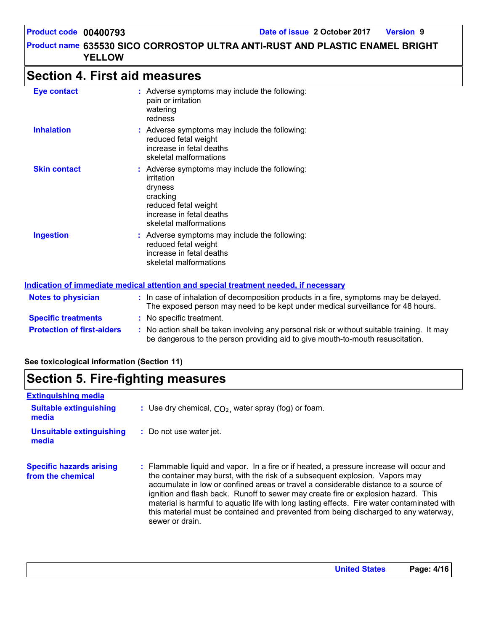### **Section 4. First aid measures**

| <b>Eye contact</b>  | : Adverse symptoms may include the following:<br>pain or irritation<br>watering<br>redness                                                                       |
|---------------------|------------------------------------------------------------------------------------------------------------------------------------------------------------------|
| <b>Inhalation</b>   | : Adverse symptoms may include the following:<br>reduced fetal weight<br>increase in fetal deaths<br>skeletal malformations                                      |
| <b>Skin contact</b> | : Adverse symptoms may include the following:<br>irritation<br>dryness<br>cracking<br>reduced fetal weight<br>increase in fetal deaths<br>skeletal malformations |
| <b>Ingestion</b>    | : Adverse symptoms may include the following:<br>reduced fetal weight<br>increase in fetal deaths<br>skeletal malformations                                      |

#### **Notes to physician <b>:** In case of inhalation of decomposition products in a fire, symptoms may be delayed. **Indication of immediate medical attention and special treatment needed, if necessary**

|                                   | The exposed person may need to be kept under medical surveillance for 48 hours.                                                                                               |  |
|-----------------------------------|-------------------------------------------------------------------------------------------------------------------------------------------------------------------------------|--|
| <b>Specific treatments</b>        | : No specific treatment.                                                                                                                                                      |  |
| <b>Protection of first-aiders</b> | : No action shall be taken involving any personal risk or without suitable training. It may<br>be dangerous to the person providing aid to give mouth-to-mouth resuscitation. |  |

#### **See toxicological information (Section 11)**

### **Section 5. Fire-fighting measures**

| <b>Extinguishing media</b><br><b>Suitable extinguishing</b> | : Use dry chemical, $CO2$ , water spray (fog) or foam.                                                                                                                                                                                                                                                                                                                                                                                                                                                                                                           |
|-------------------------------------------------------------|------------------------------------------------------------------------------------------------------------------------------------------------------------------------------------------------------------------------------------------------------------------------------------------------------------------------------------------------------------------------------------------------------------------------------------------------------------------------------------------------------------------------------------------------------------------|
| media<br><b>Unsuitable extinguishing</b>                    | : Do not use water jet.                                                                                                                                                                                                                                                                                                                                                                                                                                                                                                                                          |
| media                                                       |                                                                                                                                                                                                                                                                                                                                                                                                                                                                                                                                                                  |
| <b>Specific hazards arising</b><br>from the chemical        | : Flammable liquid and vapor. In a fire or if heated, a pressure increase will occur and<br>the container may burst, with the risk of a subsequent explosion. Vapors may<br>accumulate in low or confined areas or travel a considerable distance to a source of<br>ignition and flash back. Runoff to sewer may create fire or explosion hazard. This<br>material is harmful to aquatic life with long lasting effects. Fire water contaminated with<br>this material must be contained and prevented from being discharged to any waterway,<br>sewer or drain. |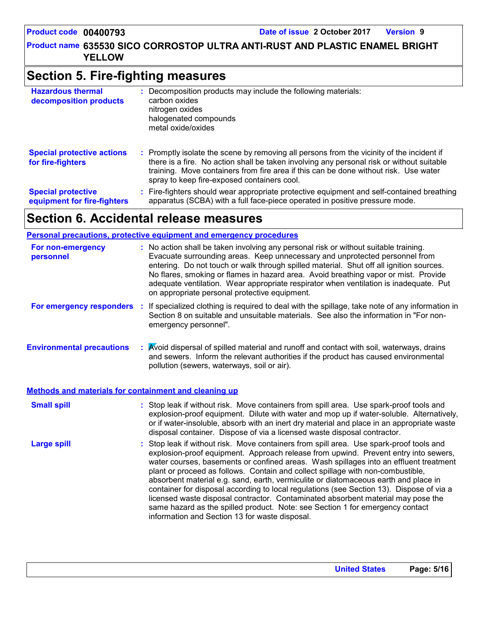**635530 SICO CORROSTOP ULTRA ANTI-RUST AND PLASTIC ENAMEL BRIGHT Product name YELLOW**

### **Section 5. Fire-fighting measures**

| <b>Hazardous thermal</b><br>decomposition products       | : Decomposition products may include the following materials:<br>carbon oxides<br>nitrogen oxides<br>halogenated compounds<br>metal oxide/oxides                                                                                                                                                                              |  |
|----------------------------------------------------------|-------------------------------------------------------------------------------------------------------------------------------------------------------------------------------------------------------------------------------------------------------------------------------------------------------------------------------|--|
| <b>Special protective actions</b><br>for fire-fighters   | : Promptly isolate the scene by removing all persons from the vicinity of the incident if<br>there is a fire. No action shall be taken involving any personal risk or without suitable<br>training. Move containers from fire area if this can be done without risk. Use water<br>spray to keep fire-exposed containers cool. |  |
| <b>Special protective</b><br>equipment for fire-fighters | Fire-fighters should wear appropriate protective equipment and self-contained breathing<br>÷.<br>apparatus (SCBA) with a full face-piece operated in positive pressure mode.                                                                                                                                                  |  |

### **Section 6. Accidental release measures**

**Personal precautions, protective equipment and emergency procedures**

| For non-emergency<br>personnel   |     | : No action shall be taken involving any personal risk or without suitable training.<br>Evacuate surrounding areas. Keep unnecessary and unprotected personnel from<br>entering. Do not touch or walk through spilled material. Shut off all ignition sources.<br>No flares, smoking or flames in hazard area. Avoid breathing vapor or mist. Provide<br>adequate ventilation. Wear appropriate respirator when ventilation is inadequate. Put<br>on appropriate personal protective equipment. |  |
|----------------------------------|-----|-------------------------------------------------------------------------------------------------------------------------------------------------------------------------------------------------------------------------------------------------------------------------------------------------------------------------------------------------------------------------------------------------------------------------------------------------------------------------------------------------|--|
| For emergency responders         | -11 | If specialized clothing is required to deal with the spillage, take note of any information in<br>Section 8 on suitable and unsuitable materials. See also the information in "For non-<br>emergency personnel".                                                                                                                                                                                                                                                                                |  |
| <b>Environmental precautions</b> |     | : Avoid dispersal of spilled material and runoff and contact with soil, waterways, drains<br>and sewers. Inform the relevant authorities if the product has caused environmental                                                                                                                                                                                                                                                                                                                |  |

pollution (sewers, waterways, soil or air).

#### **Methods and materials for containment and cleaning up**

| <b>Small spill</b> | : Stop leak if without risk. Move containers from spill area. Use spark-proof tools and<br>explosion-proof equipment. Dilute with water and mop up if water-soluble. Alternatively,<br>or if water-insoluble, absorb with an inert dry material and place in an appropriate waste<br>disposal container. Dispose of via a licensed waste disposal contractor.                                                                                                                                                                                                                                                                                                                                                                                                        |
|--------------------|----------------------------------------------------------------------------------------------------------------------------------------------------------------------------------------------------------------------------------------------------------------------------------------------------------------------------------------------------------------------------------------------------------------------------------------------------------------------------------------------------------------------------------------------------------------------------------------------------------------------------------------------------------------------------------------------------------------------------------------------------------------------|
| <b>Large spill</b> | : Stop leak if without risk. Move containers from spill area. Use spark-proof tools and<br>explosion-proof equipment. Approach release from upwind. Prevent entry into sewers,<br>water courses, basements or confined areas. Wash spillages into an effluent treatment<br>plant or proceed as follows. Contain and collect spillage with non-combustible,<br>absorbent material e.g. sand, earth, vermiculite or diatomaceous earth and place in<br>container for disposal according to local regulations (see Section 13). Dispose of via a<br>licensed waste disposal contractor. Contaminated absorbent material may pose the<br>same hazard as the spilled product. Note: see Section 1 for emergency contact<br>information and Section 13 for waste disposal. |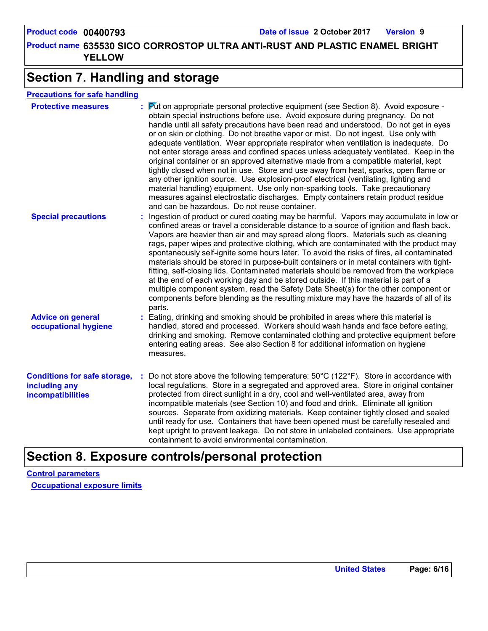**635530 SICO CORROSTOP ULTRA ANTI-RUST AND PLASTIC ENAMEL BRIGHT Product name YELLOW**

### **Section 7. Handling and storage**

| <b>Precautions for safe handling</b> |            |  |
|--------------------------------------|------------|--|
| <b>Dealer Hitch management</b>       | $\sqrt{N}$ |  |

| <b>Protective measures</b>                                                       | <b>Put on appropriate personal protective equipment (see Section 8). Avoid exposure -</b><br>obtain special instructions before use. Avoid exposure during pregnancy. Do not<br>handle until all safety precautions have been read and understood. Do not get in eyes<br>or on skin or clothing. Do not breathe vapor or mist. Do not ingest. Use only with<br>adequate ventilation. Wear appropriate respirator when ventilation is inadequate. Do<br>not enter storage areas and confined spaces unless adequately ventilated. Keep in the<br>original container or an approved alternative made from a compatible material, kept<br>tightly closed when not in use. Store and use away from heat, sparks, open flame or<br>any other ignition source. Use explosion-proof electrical (ventilating, lighting and<br>material handling) equipment. Use only non-sparking tools. Take precautionary<br>measures against electrostatic discharges. Empty containers retain product residue<br>and can be hazardous. Do not reuse container. |
|----------------------------------------------------------------------------------|--------------------------------------------------------------------------------------------------------------------------------------------------------------------------------------------------------------------------------------------------------------------------------------------------------------------------------------------------------------------------------------------------------------------------------------------------------------------------------------------------------------------------------------------------------------------------------------------------------------------------------------------------------------------------------------------------------------------------------------------------------------------------------------------------------------------------------------------------------------------------------------------------------------------------------------------------------------------------------------------------------------------------------------------|
| <b>Special precautions</b>                                                       | : Ingestion of product or cured coating may be harmful. Vapors may accumulate in low or<br>confined areas or travel a considerable distance to a source of ignition and flash back.<br>Vapors are heavier than air and may spread along floors. Materials such as cleaning<br>rags, paper wipes and protective clothing, which are contaminated with the product may<br>spontaneously self-ignite some hours later. To avoid the risks of fires, all contaminated<br>materials should be stored in purpose-built containers or in metal containers with tight-<br>fitting, self-closing lids. Contaminated materials should be removed from the workplace<br>at the end of each working day and be stored outside. If this material is part of a<br>multiple component system, read the Safety Data Sheet(s) for the other component or<br>components before blending as the resulting mixture may have the hazards of all of its<br>parts.                                                                                                |
| <b>Advice on general</b><br>occupational hygiene                                 | : Eating, drinking and smoking should be prohibited in areas where this material is<br>handled, stored and processed. Workers should wash hands and face before eating,<br>drinking and smoking. Remove contaminated clothing and protective equipment before<br>entering eating areas. See also Section 8 for additional information on hygiene<br>measures.                                                                                                                                                                                                                                                                                                                                                                                                                                                                                                                                                                                                                                                                              |
| <b>Conditions for safe storage,</b><br>including any<br><b>incompatibilities</b> | Do not store above the following temperature: 50°C (122°F). Store in accordance with<br>local regulations. Store in a segregated and approved area. Store in original container<br>protected from direct sunlight in a dry, cool and well-ventilated area, away from<br>incompatible materials (see Section 10) and food and drink. Eliminate all ignition<br>sources. Separate from oxidizing materials. Keep container tightly closed and sealed<br>until ready for use. Containers that have been opened must be carefully resealed and<br>kept upright to prevent leakage. Do not store in unlabeled containers. Use appropriate<br>containment to avoid environmental contamination.                                                                                                                                                                                                                                                                                                                                                  |

### **Section 8. Exposure controls/personal protection**

**Control parameters Occupational exposure limits**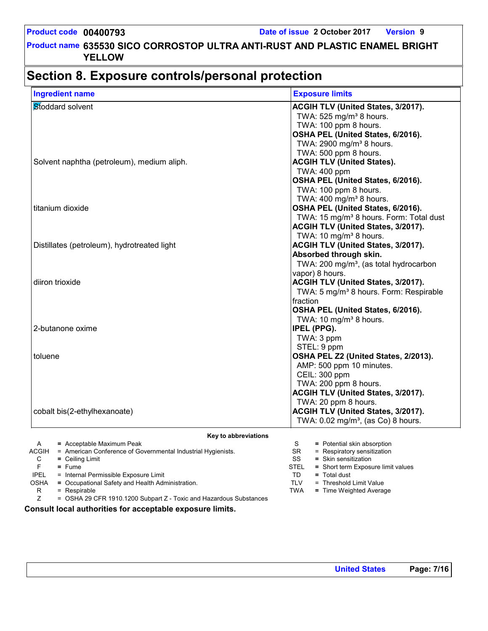### **Section 8. Exposure controls/personal protection**

| Stoddard solvent                            | <b>ACGIH TLV (United States, 3/2017).</b>           |
|---------------------------------------------|-----------------------------------------------------|
|                                             |                                                     |
|                                             | TWA: 525 mg/m <sup>3</sup> 8 hours.                 |
|                                             | TWA: 100 ppm 8 hours.                               |
|                                             | OSHA PEL (United States, 6/2016).                   |
|                                             | TWA: 2900 mg/m <sup>3</sup> 8 hours.                |
|                                             | TWA: 500 ppm 8 hours.                               |
| Solvent naphtha (petroleum), medium aliph.  | <b>ACGIH TLV (United States).</b>                   |
|                                             | TWA: 400 ppm                                        |
|                                             | OSHA PEL (United States, 6/2016).                   |
|                                             | TWA: 100 ppm 8 hours.                               |
|                                             | TWA: 400 mg/m <sup>3</sup> 8 hours.                 |
| titanium dioxide                            | OSHA PEL (United States, 6/2016).                   |
|                                             | TWA: 15 mg/m <sup>3</sup> 8 hours. Form: Total dust |
|                                             | <b>ACGIH TLV (United States, 3/2017).</b>           |
|                                             | TWA: 10 mg/m <sup>3</sup> 8 hours.                  |
| Distillates (petroleum), hydrotreated light | <b>ACGIH TLV (United States, 3/2017).</b>           |
|                                             | Absorbed through skin.                              |
|                                             | TWA: 200 mg/m <sup>3</sup> , (as total hydrocarbon  |
|                                             | vapor) 8 hours.                                     |
| diiron trioxide                             | <b>ACGIH TLV (United States, 3/2017).</b>           |
|                                             | TWA: 5 mg/m <sup>3</sup> 8 hours. Form: Respirable  |
|                                             | fraction                                            |
|                                             | OSHA PEL (United States, 6/2016).                   |
|                                             | TWA: 10 mg/m <sup>3</sup> 8 hours.                  |
| 2-butanone oxime                            | <b>IPEL (PPG).</b>                                  |
|                                             | TWA: 3 ppm                                          |
|                                             | STEL: 9 ppm                                         |
| toluene                                     | OSHA PEL Z2 (United States, 2/2013).                |
|                                             | AMP: 500 ppm 10 minutes.                            |
|                                             | CEIL: 300 ppm                                       |
|                                             | TWA: 200 ppm 8 hours.                               |
|                                             | <b>ACGIH TLV (United States, 3/2017).</b>           |
|                                             | TWA: 20 ppm 8 hours.                                |
| cobalt bis(2-ethylhexanoate)                | <b>ACGIH TLV (United States, 3/2017).</b>           |
|                                             | TWA: 0.02 mg/m <sup>3</sup> , (as Co) 8 hours.      |

| A           | $=$ Acceptable Maximum Peak                                          |             | = Potential skin absorption        |
|-------------|----------------------------------------------------------------------|-------------|------------------------------------|
| ACGIH       | = American Conference of Governmental Industrial Hygienists.         | SR.         | = Respiratory sensitization        |
| C           | $=$ Ceiling Limit                                                    | SS          | $=$ Skin sensitization             |
|             | $=$ Fume                                                             | <b>STEL</b> | = Short term Exposure limit values |
| <b>IPEL</b> | = Internal Permissible Exposure Limit                                | TD          | $=$ Total dust                     |
| <b>OSHA</b> | = Occupational Safety and Health Administration.                     | TLV         | = Threshold Limit Value            |
| R           | $=$ Respirable                                                       | TWA         | = Time Weighted Average            |
|             | $=$ OSHA 29 CFR 1910.1200 Subpart Z - Toxic and Hazardous Substances |             |                                    |

**Consult local authorities for acceptable exposure limits.**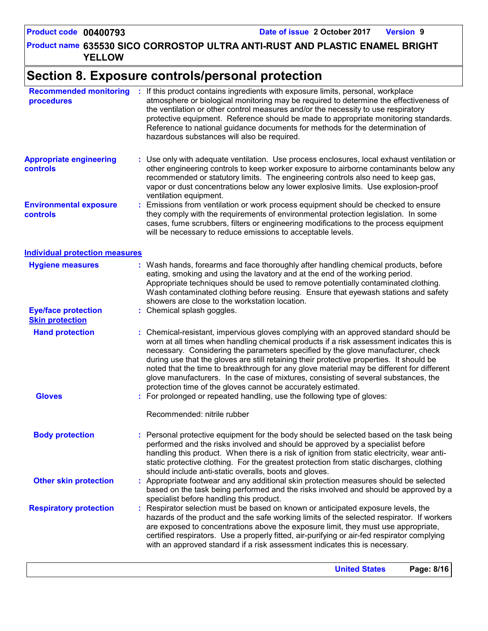**635530 SICO CORROSTOP ULTRA ANTI-RUST AND PLASTIC ENAMEL BRIGHT Product name YELLOW**

### **Section 8. Exposure controls/personal protection**

| <b>Recommended monitoring</b><br>procedures          | : If this product contains ingredients with exposure limits, personal, workplace<br>atmosphere or biological monitoring may be required to determine the effectiveness of<br>the ventilation or other control measures and/or the necessity to use respiratory<br>protective equipment. Reference should be made to appropriate monitoring standards.<br>Reference to national guidance documents for methods for the determination of<br>hazardous substances will also be required.                                                                                                                                  |
|------------------------------------------------------|------------------------------------------------------------------------------------------------------------------------------------------------------------------------------------------------------------------------------------------------------------------------------------------------------------------------------------------------------------------------------------------------------------------------------------------------------------------------------------------------------------------------------------------------------------------------------------------------------------------------|
| <b>Appropriate engineering</b><br>controls           | : Use only with adequate ventilation. Use process enclosures, local exhaust ventilation or<br>other engineering controls to keep worker exposure to airborne contaminants below any<br>recommended or statutory limits. The engineering controls also need to keep gas,<br>vapor or dust concentrations below any lower explosive limits. Use explosion-proof<br>ventilation equipment.                                                                                                                                                                                                                                |
| <b>Environmental exposure</b><br>controls            | Emissions from ventilation or work process equipment should be checked to ensure<br>they comply with the requirements of environmental protection legislation. In some<br>cases, fume scrubbers, filters or engineering modifications to the process equipment<br>will be necessary to reduce emissions to acceptable levels.                                                                                                                                                                                                                                                                                          |
| <b>Individual protection measures</b>                |                                                                                                                                                                                                                                                                                                                                                                                                                                                                                                                                                                                                                        |
| <b>Hygiene measures</b>                              | : Wash hands, forearms and face thoroughly after handling chemical products, before<br>eating, smoking and using the lavatory and at the end of the working period.<br>Appropriate techniques should be used to remove potentially contaminated clothing.<br>Wash contaminated clothing before reusing. Ensure that eyewash stations and safety<br>showers are close to the workstation location.                                                                                                                                                                                                                      |
| <b>Eye/face protection</b><br><b>Skin protection</b> | : Chemical splash goggles.                                                                                                                                                                                                                                                                                                                                                                                                                                                                                                                                                                                             |
| <b>Hand protection</b>                               | : Chemical-resistant, impervious gloves complying with an approved standard should be<br>worn at all times when handling chemical products if a risk assessment indicates this is<br>necessary. Considering the parameters specified by the glove manufacturer, check<br>during use that the gloves are still retaining their protective properties. It should be<br>noted that the time to breakthrough for any glove material may be different for different<br>glove manufacturers. In the case of mixtures, consisting of several substances, the<br>protection time of the gloves cannot be accurately estimated. |
| <b>Gloves</b>                                        | : For prolonged or repeated handling, use the following type of gloves:                                                                                                                                                                                                                                                                                                                                                                                                                                                                                                                                                |
|                                                      | Recommended: nitrile rubber                                                                                                                                                                                                                                                                                                                                                                                                                                                                                                                                                                                            |
| <b>Body protection</b>                               | : Personal protective equipment for the body should be selected based on the task being<br>performed and the risks involved and should be approved by a specialist before<br>handling this product. When there is a risk of ignition from static electricity, wear anti-<br>static protective clothing. For the greatest protection from static discharges, clothing<br>should include anti-static overalls, boots and gloves.                                                                                                                                                                                         |
| <b>Other skin protection</b>                         | : Appropriate footwear and any additional skin protection measures should be selected<br>based on the task being performed and the risks involved and should be approved by a<br>specialist before handling this product.                                                                                                                                                                                                                                                                                                                                                                                              |
| <b>Respiratory protection</b>                        | Respirator selection must be based on known or anticipated exposure levels, the<br>hazards of the product and the safe working limits of the selected respirator. If workers<br>are exposed to concentrations above the exposure limit, they must use appropriate,<br>certified respirators. Use a properly fitted, air-purifying or air-fed respirator complying<br>with an approved standard if a risk assessment indicates this is necessary.                                                                                                                                                                       |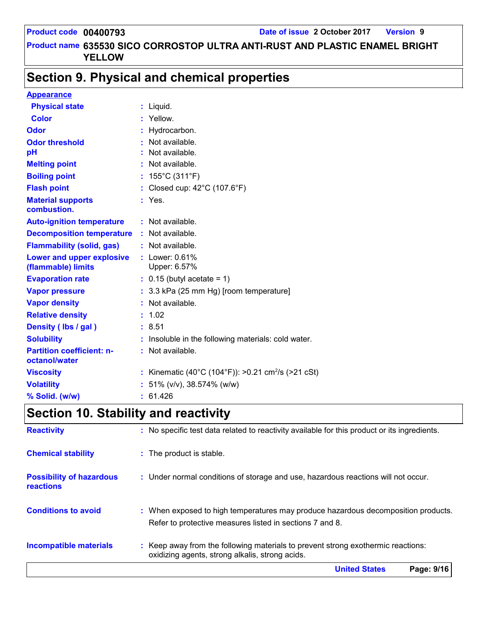### **Section 9. Physical and chemical properties**

| <b>Appearance</b>                                 |    |                                                              |
|---------------------------------------------------|----|--------------------------------------------------------------|
| <b>Physical state</b>                             |    | $:$ Liquid.                                                  |
| <b>Color</b>                                      | ÷. | Yellow.                                                      |
| <b>Odor</b>                                       |    | Hydrocarbon.                                                 |
| <b>Odor threshold</b>                             |    | Not available.                                               |
| pH                                                |    | Not available.                                               |
| <b>Melting point</b>                              |    | Not available.                                               |
| <b>Boiling point</b>                              |    | 155°C (311°F)                                                |
| <b>Flash point</b>                                |    | Closed cup: 42°C (107.6°F)                                   |
| <b>Material supports</b><br>combustion.           |    | : Yes.                                                       |
| <b>Auto-ignition temperature</b>                  |    | : Not available.                                             |
| <b>Decomposition temperature</b>                  |    | : Not available.                                             |
| <b>Flammability (solid, gas)</b>                  |    | : Not available.                                             |
| Lower and upper explosive<br>(flammable) limits   |    | $:$ Lower: $0.61\%$<br>Upper: 6.57%                          |
| <b>Evaporation rate</b>                           |    | $: 0.15$ (butyl acetate = 1)                                 |
| <b>Vapor pressure</b>                             |    | : 3.3 kPa (25 mm Hg) [room temperature]                      |
| <b>Vapor density</b>                              |    | Not available.                                               |
| <b>Relative density</b>                           |    | 1.02                                                         |
| Density (Ibs / gal)                               |    | : 8.51                                                       |
| <b>Solubility</b>                                 |    | Insoluble in the following materials: cold water.            |
| <b>Partition coefficient: n-</b><br>octanol/water |    | : Not available.                                             |
| <b>Viscosity</b>                                  |    | Kinematic (40°C (104°F)): >0.21 cm <sup>2</sup> /s (>21 cSt) |
| <b>Volatility</b>                                 |    | 51% (v/v), 38.574% (w/w)                                     |
| % Solid. (w/w)                                    |    | 61.426                                                       |

## **Section 10. Stability and reactivity**

|                                              | <b>United States</b><br>Page: 9/16                                                                                                            |
|----------------------------------------------|-----------------------------------------------------------------------------------------------------------------------------------------------|
| <b>Incompatible materials</b>                | : Keep away from the following materials to prevent strong exothermic reactions:<br>oxidizing agents, strong alkalis, strong acids.           |
| <b>Conditions to avoid</b>                   | : When exposed to high temperatures may produce hazardous decomposition products.<br>Refer to protective measures listed in sections 7 and 8. |
| <b>Possibility of hazardous</b><br>reactions | : Under normal conditions of storage and use, hazardous reactions will not occur.                                                             |
| <b>Chemical stability</b>                    | : The product is stable.                                                                                                                      |
| <b>Reactivity</b>                            | : No specific test data related to reactivity available for this product or its ingredients.                                                  |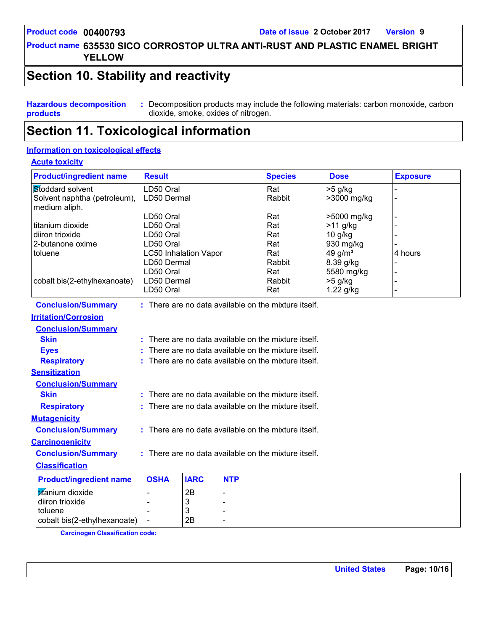**635530 SICO CORROSTOP ULTRA ANTI-RUST AND PLASTIC ENAMEL BRIGHT Product name YELLOW**

### **Section 10. Stability and reactivity**

**Hazardous decomposition products :** Decomposition products may include the following materials: carbon monoxide, carbon dioxide, smoke, oxides of nitrogen.

### **Section 11. Toxicological information**

#### **Information on toxicological effects**

#### **Acute toxicity**

| <b>Product/ingredient name</b>                                                                     | <b>Result</b>                                                                                                               |                    |            | <b>Species</b>                                             | <b>Dose</b>                                                                                                      | <b>Exposure</b> |
|----------------------------------------------------------------------------------------------------|-----------------------------------------------------------------------------------------------------------------------------|--------------------|------------|------------------------------------------------------------|------------------------------------------------------------------------------------------------------------------|-----------------|
| Stoddard solvent<br>Solvent naphtha (petroleum),<br>medium aliph.                                  | LD50 Oral<br>LD50 Dermal                                                                                                    |                    |            | Rat<br>Rabbit                                              | $>5$ g/kg<br>>3000 mg/kg                                                                                         |                 |
| titanium dioxide<br>diiron trioxide<br>2-butanone oxime<br>toluene<br>cobalt bis(2-ethylhexanoate) | LD50 Oral<br>LD50 Oral<br>LD50 Oral<br>LD50 Oral<br><b>LC50 Inhalation Vapor</b><br>LD50 Dermal<br>LD50 Oral<br>LD50 Dermal |                    |            | Rat<br>Rat<br>Rat<br>Rat<br>Rat<br>Rabbit<br>Rat<br>Rabbit | >5000 mg/kg<br>$>11$ g/kg<br>$10$ g/kg<br>930 mg/kg<br>49 g/m <sup>3</sup><br>8.39 g/kg<br>5580 mg/kg<br>>5 g/kg | 4 hours         |
|                                                                                                    | LD50 Oral                                                                                                                   |                    |            | Rat                                                        | 1.22 g/kg                                                                                                        |                 |
| <b>Conclusion/Summary</b>                                                                          |                                                                                                                             |                    |            | : There are no data available on the mixture itself.       |                                                                                                                  |                 |
| <b>Irritation/Corrosion</b>                                                                        |                                                                                                                             |                    |            |                                                            |                                                                                                                  |                 |
| <b>Conclusion/Summary</b>                                                                          |                                                                                                                             |                    |            |                                                            |                                                                                                                  |                 |
| <b>Skin</b>                                                                                        |                                                                                                                             |                    |            | : There are no data available on the mixture itself.       |                                                                                                                  |                 |
| <b>Eyes</b>                                                                                        |                                                                                                                             |                    |            | There are no data available on the mixture itself.         |                                                                                                                  |                 |
| <b>Respiratory</b>                                                                                 |                                                                                                                             |                    |            | There are no data available on the mixture itself.         |                                                                                                                  |                 |
| <b>Sensitization</b>                                                                               |                                                                                                                             |                    |            |                                                            |                                                                                                                  |                 |
| <b>Conclusion/Summary</b>                                                                          |                                                                                                                             |                    |            |                                                            |                                                                                                                  |                 |
| <b>Skin</b>                                                                                        |                                                                                                                             |                    |            | $:$ There are no data available on the mixture itself.     |                                                                                                                  |                 |
| <b>Respiratory</b>                                                                                 |                                                                                                                             |                    |            | : There are no data available on the mixture itself.       |                                                                                                                  |                 |
| <b>Mutagenicity</b>                                                                                |                                                                                                                             |                    |            |                                                            |                                                                                                                  |                 |
| <b>Conclusion/Summary</b>                                                                          | : There are no data available on the mixture itself.                                                                        |                    |            |                                                            |                                                                                                                  |                 |
| <b>Carcinogenicity</b>                                                                             |                                                                                                                             |                    |            |                                                            |                                                                                                                  |                 |
| <b>Conclusion/Summary</b>                                                                          |                                                                                                                             |                    |            | $:$ There are no data available on the mixture itself.     |                                                                                                                  |                 |
| <b>Classification</b>                                                                              |                                                                                                                             |                    |            |                                                            |                                                                                                                  |                 |
| <b>Product/ingredient name</b>                                                                     | <b>OSHA</b>                                                                                                                 | <b>IARC</b>        | <b>NTP</b> |                                                            |                                                                                                                  |                 |
| titanium dioxide<br>diiron trioxide<br>toluene<br>cobalt bis(2-ethylhexanoate)                     | $\overline{\phantom{a}}$                                                                                                    | 2B<br>3<br>3<br>2B |            |                                                            |                                                                                                                  |                 |

**Carcinogen Classification code:**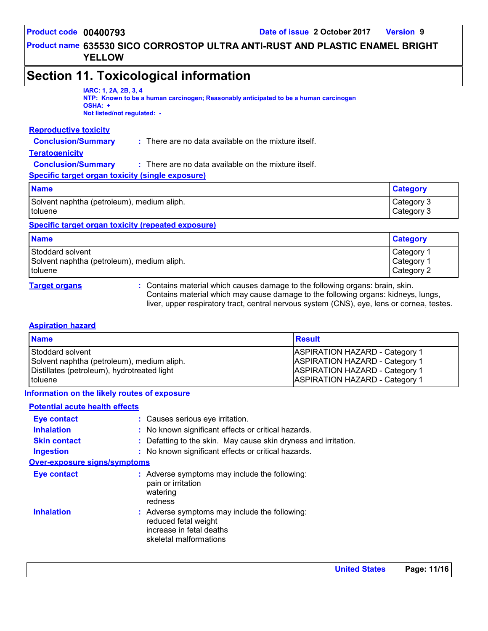### **Section 11. Toxicological information**

#### **IARC: 1, 2A, 2B, 3, 4**

**NTP: Known to be a human carcinogen; Reasonably anticipated to be a human carcinogen OSHA: + Not listed/not regulated: -**

#### **Reproductive toxicity**

**Conclusion/Summary :** There are no data available on the mixture itself.

#### **Teratogenicity**

| <b>Conclusion/Summary</b> | There are no data available on the mixture itself. |
|---------------------------|----------------------------------------------------|
|---------------------------|----------------------------------------------------|

**Specific target organ toxicity (single exposure)**

| <b>Name</b>                                | <b>Category</b> |
|--------------------------------------------|-----------------|
| Solvent naphtha (petroleum), medium aliph. | Category 3      |
| toluene                                    | Category 3      |

#### **Specific target organ toxicity (repeated exposure)**

| <b>Name</b>                                | <b>Category</b>       |
|--------------------------------------------|-----------------------|
| Stoddard solvent                           | Category 1            |
| Solvent naphtha (petroleum), medium aliph. | Category <sup>1</sup> |
| <i>I</i> toluene                           | Category 2            |

**Target organs :** Contains material which causes damage to the following organs: brain, skin. Contains material which may cause damage to the following organs: kidneys, lungs, liver, upper respiratory tract, central nervous system (CNS), eye, lens or cornea, testes.

#### **Aspiration hazard**

| <b>Name</b>                                 | <b>Result</b>                         |
|---------------------------------------------|---------------------------------------|
| Stoddard solvent                            | <b>ASPIRATION HAZARD - Category 1</b> |
| Solvent naphtha (petroleum), medium aliph.  | <b>ASPIRATION HAZARD - Category 1</b> |
| Distillates (petroleum), hydrotreated light | <b>ASPIRATION HAZARD - Category 1</b> |
| I toluene                                   | <b>ASPIRATION HAZARD - Category 1</b> |

#### **Information on the likely routes of exposure**

#### **Potential acute health effects**

| <b>Eye contact</b>                  | : Causes serious eye irritation.                                                                                            |  |  |  |  |
|-------------------------------------|-----------------------------------------------------------------------------------------------------------------------------|--|--|--|--|
| <b>Inhalation</b>                   | : No known significant effects or critical hazards.                                                                         |  |  |  |  |
| <b>Skin contact</b>                 | : Defatting to the skin. May cause skin dryness and irritation.                                                             |  |  |  |  |
| <b>Ingestion</b>                    | : No known significant effects or critical hazards.                                                                         |  |  |  |  |
| <b>Over-exposure signs/symptoms</b> |                                                                                                                             |  |  |  |  |
| <b>Eye contact</b>                  | : Adverse symptoms may include the following:<br>pain or irritation<br>watering<br>redness                                  |  |  |  |  |
| <b>Inhalation</b>                   | : Adverse symptoms may include the following:<br>reduced fetal weight<br>increase in fetal deaths<br>skeletal malformations |  |  |  |  |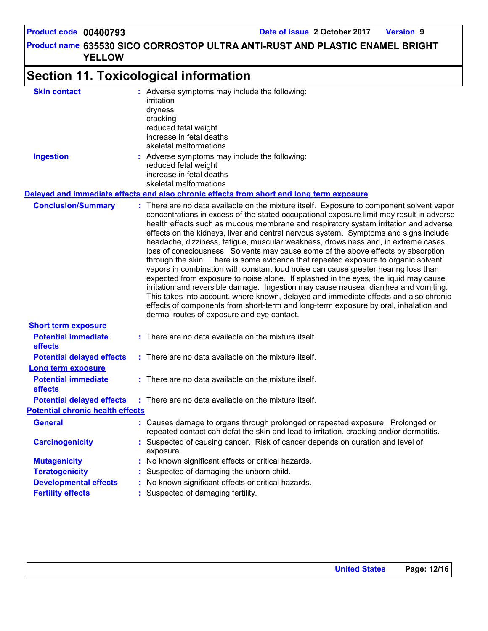**635530 SICO CORROSTOP ULTRA ANTI-RUST AND PLASTIC ENAMEL BRIGHT Product name YELLOW**

#### **Section 11. Toxicological information Conclusion/Summary : Delayed and immediate effects and also chronic effects from short and long term exposure Potential immediate :** There are no data available on the mixture itself. **Short term exposure Skin contact Ingestion Conservent Conserverse symptoms may include the following:** reduced fetal weight increase in fetal deaths skeletal malformations Adverse symptoms may include the following: **:** irritation dryness cracking reduced fetal weight increase in fetal deaths skeletal malformations There are no data available on the mixture itself. Exposure to component solvent vapor concentrations in excess of the stated occupational exposure limit may result in adverse health effects such as mucous membrane and respiratory system irritation and adverse effects on the kidneys, liver and central nervous system. Symptoms and signs include headache, dizziness, fatigue, muscular weakness, drowsiness and, in extreme cases, loss of consciousness. Solvents may cause some of the above effects by absorption through the skin. There is some evidence that repeated exposure to organic solvent vapors in combination with constant loud noise can cause greater hearing loss than expected from exposure to noise alone. If splashed in the eyes, the liquid may cause irritation and reversible damage. Ingestion may cause nausea, diarrhea and vomiting. This takes into account, where known, delayed and immediate effects and also chronic effects of components from short-term and long-term exposure by oral, inhalation and dermal routes of exposure and eye contact.

| <b>effects</b>                               |                                                                                                                                                                           |
|----------------------------------------------|---------------------------------------------------------------------------------------------------------------------------------------------------------------------------|
| <b>Potential delayed effects</b>             | : There are no data available on the mixture itself.                                                                                                                      |
| <b>Long term exposure</b>                    |                                                                                                                                                                           |
| <b>Potential immediate</b><br><b>effects</b> | $\therefore$ There are no data available on the mixture itself.                                                                                                           |
|                                              | <b>Potential delayed effects</b> : There are no data available on the mixture itself.                                                                                     |
| <b>Potential chronic health effects</b>      |                                                                                                                                                                           |
| <b>General</b>                               | : Causes damage to organs through prolonged or repeated exposure. Prolonged or<br>repeated contact can defat the skin and lead to irritation, cracking and/or dermatitis. |
| <b>Carcinogenicity</b>                       | : Suspected of causing cancer. Risk of cancer depends on duration and level of<br>exposure.                                                                               |
| <b>Mutagenicity</b>                          | : No known significant effects or critical hazards.                                                                                                                       |
| <b>Teratogenicity</b>                        | : Suspected of damaging the unborn child.                                                                                                                                 |
| <b>Developmental effects</b>                 | : No known significant effects or critical hazards.                                                                                                                       |
| <b>Fertility effects</b>                     | : Suspected of damaging fertility.                                                                                                                                        |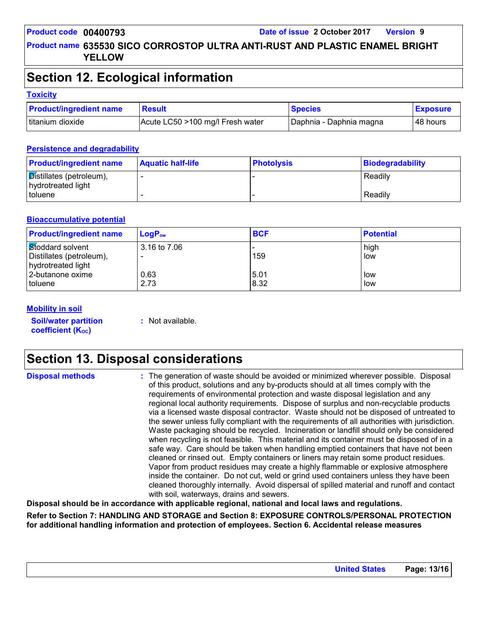### **Section 12. Ecological information**

#### **Toxicity**

| <b>Product/ingredient name</b> | <b>Result</b>                    | <b>Species</b>          | <b>Exposure</b> |
|--------------------------------|----------------------------------|-------------------------|-----------------|
| Ititanium dioxide              | Acute LC50 >100 mg/l Fresh water | Daphnia - Daphnia magna | ⊺48 hours       |

#### **Persistence and degradability**

| <b>Product/ingredient name</b>                 | <b>Aquatic half-life</b> | <b>Photolysis</b> | Biodegradability |
|------------------------------------------------|--------------------------|-------------------|------------------|
| Distillates (petroleum),<br>hydrotreated light |                          |                   | Readily          |
| I toluene                                      |                          |                   | Readily          |

#### **Bioaccumulative potential**

| <b>Product/ingredient name</b> | $LogP_{ow}$  | <b>BCF</b> | <b>Potential</b> |
|--------------------------------|--------------|------------|------------------|
| Stoddard solvent               | 3.16 to 7.06 |            | high             |
| Distillates (petroleum),       |              | 159        | low              |
| hydrotreated light             |              |            |                  |
| 2-butanone oxime               | 0.63         | 5.01       | l low            |
| toluene                        | 2.73         | 8.32       | l low            |

#### **Mobility in soil**

**Soil/water partition coefficient (Koc)** 

**:** Not available.

### **Section 13. Disposal considerations**

**Disposal methods :**

The generation of waste should be avoided or minimized wherever possible. Disposal of this product, solutions and any by-products should at all times comply with the requirements of environmental protection and waste disposal legislation and any regional local authority requirements. Dispose of surplus and non-recyclable products via a licensed waste disposal contractor. Waste should not be disposed of untreated to the sewer unless fully compliant with the requirements of all authorities with jurisdiction. Waste packaging should be recycled. Incineration or landfill should only be considered when recycling is not feasible. This material and its container must be disposed of in a safe way. Care should be taken when handling emptied containers that have not been cleaned or rinsed out. Empty containers or liners may retain some product residues. Vapor from product residues may create a highly flammable or explosive atmosphere inside the container. Do not cut, weld or grind used containers unless they have been cleaned thoroughly internally. Avoid dispersal of spilled material and runoff and contact with soil, waterways, drains and sewers.

**Disposal should be in accordance with applicable regional, national and local laws and regulations.**

**Refer to Section 7: HANDLING AND STORAGE and Section 8: EXPOSURE CONTROLS/PERSONAL PROTECTION for additional handling information and protection of employees. Section 6. Accidental release measures**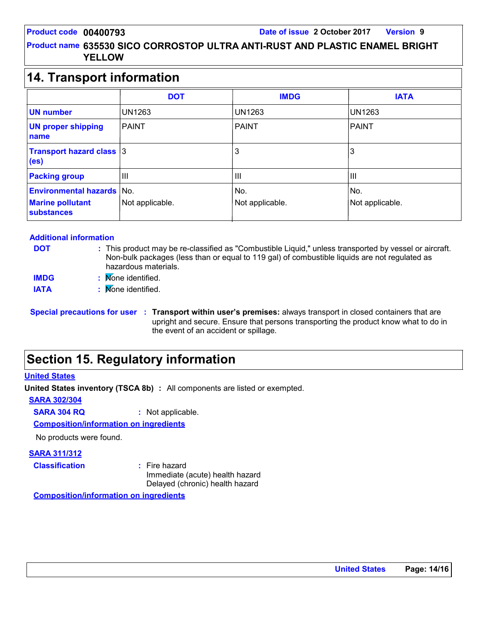### **14. Transport information**

|                                                                              | <b>DOT</b>              | <b>IMDG</b>            | <b>IATA</b>            |
|------------------------------------------------------------------------------|-------------------------|------------------------|------------------------|
| <b>UN number</b>                                                             | <b>UN1263</b>           | <b>UN1263</b>          | UN1263                 |
| <b>UN proper shipping</b><br>name                                            | <b>PAINT</b>            | <b>PAINT</b>           | PAINT                  |
| <b>Transport hazard class 3</b><br>(e <sub>s</sub> )                         |                         | 3                      | 3                      |
| <b>Packing group</b>                                                         | Ш                       | Ш                      | Ш                      |
| <b>Environmental hazards</b><br><b>Marine pollutant</b><br><b>substances</b> | lNo.<br>Not applicable. | No.<br>Not applicable. | No.<br>Not applicable. |

#### **Additional information**

- **DOT**
- This product may be re-classified as "Combustible Liquid," unless transported by vessel or aircraft. **:** Non-bulk packages (less than or equal to 119 gal) of combustible liquids are not regulated as hazardous materials.
- None identified. **: IMDG**
- **IATA :** None identified.

### **Section 15. Regulatory information**

#### **United States**

**United States inventory (TSCA 8b) :** All components are listed or exempted.

**SARA 302/304**

**SARA 304 RQ :** Not applicable.

**Composition/information on ingredients**

No products were found.

#### **SARA 311/312**

**Classification :** Fire hazard

Immediate (acute) health hazard Delayed (chronic) health hazard

**Composition/information on ingredients**

**Special precautions for user Transport within user's premises:** always transport in closed containers that are **:** upright and secure. Ensure that persons transporting the product know what to do in the event of an accident or spillage.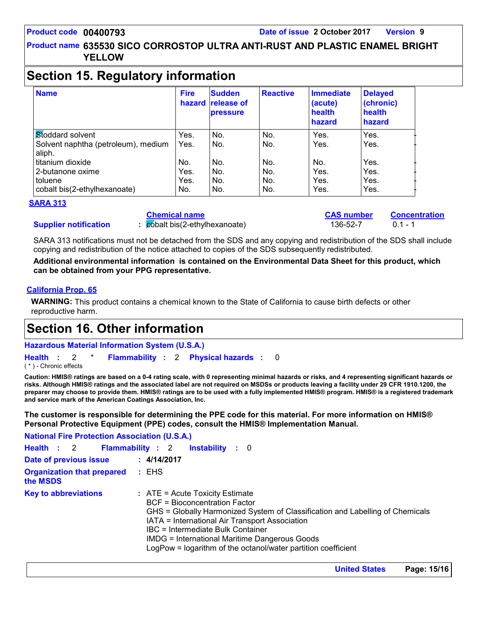### **Section 15. Regulatory information**

| <b>Name</b>                                   | <b>Fire</b> | <b>Sudden</b><br>hazard release of<br><b>pressure</b> | <b>Reactive</b> | <b>Immediate</b><br>(acute)<br>health<br>hazard | <b>Delayed</b><br>(chronic)<br>health<br>hazard |
|-----------------------------------------------|-------------|-------------------------------------------------------|-----------------|-------------------------------------------------|-------------------------------------------------|
| Stoddard solvent                              | Yes.        | No.                                                   | No.             | Yes.                                            | Yes.                                            |
| Solvent naphtha (petroleum), medium<br>aliph. | Yes.        | No.                                                   | No.             | Yes.                                            | Yes.                                            |
| titanium dioxide                              | No.         | No.                                                   | No.             | No.                                             | Yes.                                            |
| 2-butanone oxime                              | Yes.        | No.                                                   | No.             | Yes.                                            | Yes.                                            |
| toluene                                       | Yes.        | No.                                                   | No.             | Yes.                                            | Yes.                                            |
| cobalt bis(2-ethylhexanoate)                  | No.         | No.                                                   | No.             | Yes.                                            | Yes.                                            |

#### **SARA 313**

**Chemical name**

**:** cobalt bis(2-ethylhexanoate) 136-52-7 0.1 - 1

**CAS number Concentration**

SARA 313 notifications must not be detached from the SDS and any copying and redistribution of the SDS shall include copying and redistribution of the notice attached to copies of the SDS subsequently redistributed.

**Additional environmental information is contained on the Environmental Data Sheet for this product, which can be obtained from your PPG representative.**

#### **California Prop. 65**

**Supplier notification**

**WARNING:** This product contains a chemical known to the State of California to cause birth defects or other reproductive harm.

### **Section 16. Other information**

**Hazardous Material Information System (U.S.A.)**

**Health** : 2 \* **Flammability** : 2 **Physical hazards** : 0 0

( \* ) - Chronic effects

**Caution: HMIS® ratings are based on a 0-4 rating scale, with 0 representing minimal hazards or risks, and 4 representing significant hazards or risks. Although HMIS® ratings and the associated label are not required on MSDSs or products leaving a facility under 29 CFR 1910.1200, the preparer may choose to provide them. HMIS® ratings are to be used with a fully implemented HMIS® program. HMIS® is a registered trademark and service mark of the American Coatings Association, Inc.**

**The customer is responsible for determining the PPE code for this material. For more information on HMIS® Personal Protective Equipment (PPE) codes, consult the HMIS® Implementation Manual.**

**National Fire Protection Association (U.S.A.)**

| Health : 2 Flammability : 2                         |             | <b>Instability</b> : 0                                                                                  |                                                                                                                                                                                                                                                   |
|-----------------------------------------------------|-------------|---------------------------------------------------------------------------------------------------------|---------------------------------------------------------------------------------------------------------------------------------------------------------------------------------------------------------------------------------------------------|
| Date of previous issue                              | : 4/14/2017 |                                                                                                         |                                                                                                                                                                                                                                                   |
| <b>Organization that prepared : EHS</b><br>the MSDS |             |                                                                                                         |                                                                                                                                                                                                                                                   |
| <b>Key to abbreviations</b>                         |             | $:$ ATE = Acute Toxicity Estimate<br>BCF = Bioconcentration Factor<br>IBC = Intermediate Bulk Container | GHS = Globally Harmonized System of Classification and Labelling of Chemicals<br>IATA = International Air Transport Association<br>IMDG = International Maritime Dangerous Goods<br>LogPow = logarithm of the octanol/water partition coefficient |

**United States Page: 15/16**